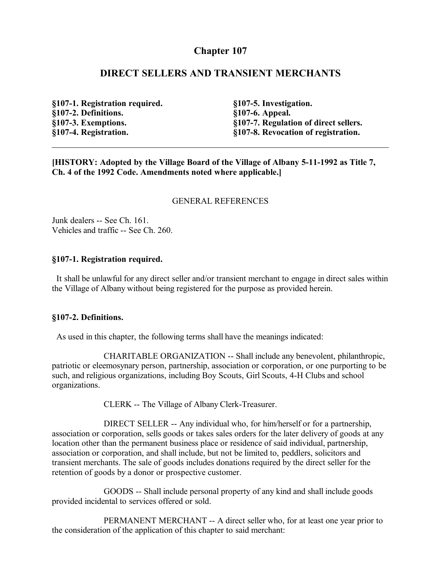# **Chapter 107**

### **DIRECT SELLERS AND TRANSIENT MERCHANTS**

**§107-1. Registration required. §107-2. Definitions. §107-3. Exemptions. §107-4. Registration.**

**§107-5. Investigation. §107-6. Appeal. §107-7. Regulation of direct sellers. §107-8. Revocation of registration.**

**[HISTORY: Adopted by the Village Board of the Village of Albany 5-11-1992 as Title 7, Ch. 4 of the 1992 Code. Amendments noted where applicable.]**

### GENERAL REFERENCES

Junk dealers -- See Ch. 161. Vehicles and traffic -- See Ch. 260.

### **§107-1. Registration required.**

 It shall be unlawful for any direct seller and/or transient merchant to engage in direct sales within the Village of Albany without being registered for the purpose as provided herein.

### **§107-2. Definitions.**

As used in this chapter, the following terms shall have the meanings indicated:

CHARITABLE ORGANIZATION -- Shall include any benevolent, philanthropic, patriotic or eleemosynary person, partnership, association or corporation, or one purporting to be such, and religious organizations, including Boy Scouts, Girl Scouts, 4-H Clubs and school organizations.

CLERK -- The Village of Albany Clerk-Treasurer.

DIRECT SELLER -- Any individual who, for him/herself or for a partnership, association or corporation, sells goods or takes sales orders for the later delivery of goods at any location other than the permanent business place or residence of said individual, partnership, association or corporation, and shall include, but not be limited to, peddlers, solicitors and transient merchants. The sale of goods includes donations required by the direct seller for the retention of goods by a donor or prospective customer.

GOODS -- Shall include personal property of any kind and shall include goods provided incidental to services offered or sold.

PERMANENT MERCHANT -- A direct seller who, for at least one year prior to the consideration of the application of this chapter to said merchant: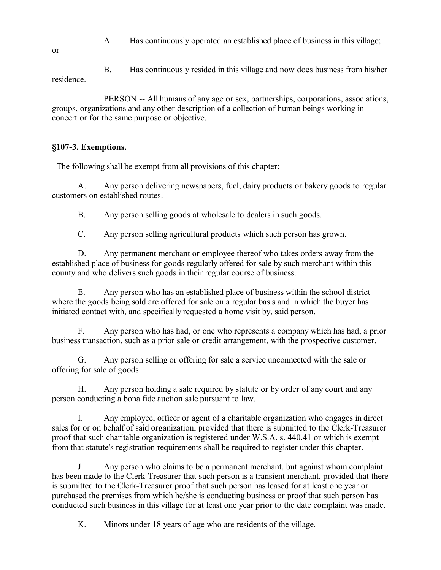A. Has continuously operated an established place of business in this village;

B. Has continuously resided in this village and now does business from his/her residence.

PERSON -- All humans of any age or sex, partnerships, corporations, associations, groups, organizations and any other description of a collection of human beings working in concert or for the same purpose or objective.

### **§107-3. Exemptions.**

The following shall be exempt from all provisions of this chapter:

A. Any person delivering newspapers, fuel, dairy products or bakery goods to regular customers on established routes.

B. Any person selling goods at wholesale to dealers in such goods.

C. Any person selling agricultural products which such person has grown.

D. Any permanent merchant or employee thereof who takes orders away from the established place of business for goods regularly offered for sale by such merchant within this county and who delivers such goods in their regular course of business.

E. Any person who has an established place of business within the school district where the goods being sold are offered for sale on a regular basis and in which the buyer has initiated contact with, and specifically requested a home visit by, said person.

F. Any person who has had, or one who represents a company which has had, a prior business transaction, such as a prior sale or credit arrangement, with the prospective customer.

G. Any person selling or offering for sale a service unconnected with the sale or offering for sale of goods.

H. Any person holding a sale required by statute or by order of any court and any person conducting a bona fide auction sale pursuant to law.

I. Any employee, officer or agent of a charitable organization who engages in direct sales for or on behalf of said organization, provided that there is submitted to the Clerk-Treasurer proof that such charitable organization is registered under W.S.A. s. 440.41 or which is exempt from that statute's registration requirements shall be required to register under this chapter.

J. Any person who claims to be a permanent merchant, but against whom complaint has been made to the Clerk-Treasurer that such person is a transient merchant, provided that there is submitted to the Clerk-Treasurer proof that such person has leased for at least one year or purchased the premises from which he/she is conducting business or proof that such person has conducted such business in this village for at least one year prior to the date complaint was made.

K. Minors under 18 years of age who are residents of the village.

or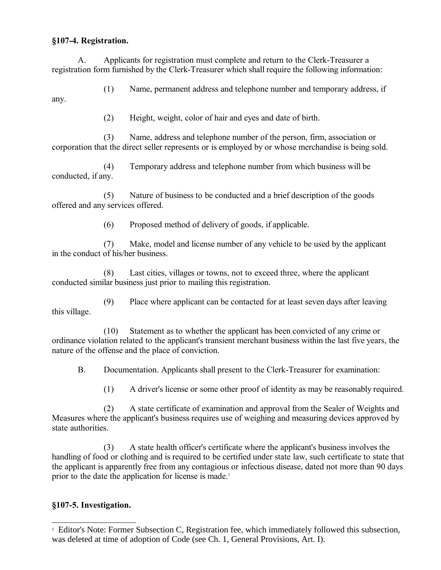### **§107-4. Registration.**

any.

A. Applicants for registration must complete and return to the Clerk-Treasurer a registration form furnished by the Clerk-Treasurer which shall require the following information:

(1) Name, permanent address and telephone number and temporary address, if

(2) Height, weight, color of hair and eyes and date of birth.

(3) Name, address and telephone number of the person, firm, association or corporation that the direct seller represents or is employed by or whose merchandise is being sold.

(4) Temporary address and telephone number from which business will be conducted, if any.

(5) Nature of business to be conducted and a brief description of the goods offered and any services offered.

(6) Proposed method of delivery of goods, if applicable.

(7) Make, model and license number of any vehicle to be used by the applicant in the conduct of his/her business.

(8) Last cities, villages or towns, not to exceed three, where the applicant conducted similar business just prior to mailing this registration.

(9) Place where applicant can be contacted for at least seven days after leaving this village.

(10) Statement as to whether the applicant has been convicted of any crime or ordinance violation related to the applicant's transient merchant business within the last five years, the nature of the offense and the place of conviction.

B. Documentation. Applicants shall present to the Clerk-Treasurer for examination:

(1) A driver's license or some other proof of identity as may be reasonably required.

(2) A state certificate of examination and approval from the Sealer of Weights and Measures where the applicant's business requires use of weighing and measuring devices approved by state authorities.

(3) A state health officer's certificate where the applicant's business involves the handling of food or clothing and is required to be certified under state law, such certificate to state that the applicant is apparently free from any contagious or infectious disease, dated not more than 90 days prior to the date the application for license is made.<sup>[1](#page-2-0)</sup>

# **§107-5. Investigation.**

<span id="page-2-0"></span><sup>&</sup>lt;sup>1</sup> Editor's Note: Former Subsection C, Registration fee, which immediately followed this subsection, was deleted at time of adoption of Code (see Ch. 1, General Provisions, Art. I).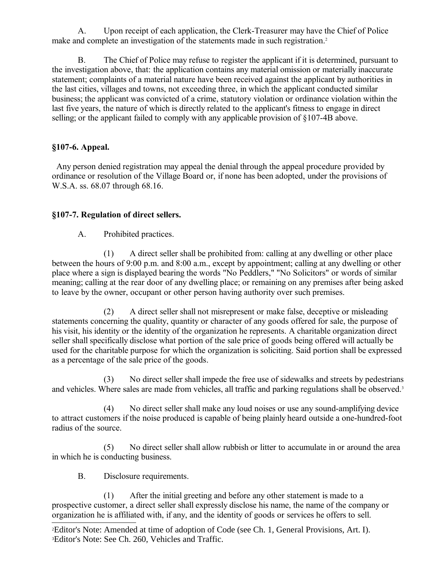A. Upon receipt of each application, the Clerk-Treasurer may have the Chief of Police make and complete an investigation of the statements made in such registration.<sup>[2](#page-3-0)</sup>

B. The Chief of Police may refuse to register the applicant if it is determined, pursuant to the investigation above, that: the application contains any material omission or materially inaccurate statement; complaints of a material nature have been received against the applicant by authorities in the last cities, villages and towns, not exceeding three, in which the applicant conducted similar business; the applicant was convicted of a crime, statutory violation or ordinance violation within the last five years, the nature of which is directly related to the applicant's fitness to engage in direct selling; or the applicant failed to comply with any applicable provision of §107-4B above.

# **§107-6. Appeal.**

 Any person denied registration may appeal the denial through the appeal procedure provided by ordinance or resolution of the Village Board or, if none has been adopted, under the provisions of W.S.A. ss. 68.07 through 68.16.

# **§107-7. Regulation of direct sellers.**

A. Prohibited practices.

(1) A direct seller shall be prohibited from: calling at any dwelling or other place between the hours of 9:00 p.m. and 8:00 a.m., except by appointment; calling at any dwelling or other place where a sign is displayed bearing the words "No Peddlers," "No Solicitors" or words of similar meaning; calling at the rear door of any dwelling place; or remaining on any premises after being asked to leave by the owner, occupant or other person having authority over such premises.

(2) A direct seller shall not misrepresent or make false, deceptive or misleading statements concerning the quality, quantity or character of any goods offered for sale, the purpose of his visit, his identity or the identity of the organization he represents. A charitable organization direct seller shall specifically disclose what portion of the sale price of goods being offered will actually be used for the charitable purpose for which the organization is soliciting. Said portion shall be expressed as a percentage of the sale price of the goods.

(3) No direct seller shall impede the free use of sidewalks and streets by pedestrians and vehicles. Where sales are made from vehicles, all traffic and parking regulations shall be observed.<sup>[3](#page-3-1)</sup>

(4) No direct seller shall make any loud noises or use any sound-amplifying device to attract customers if the noise produced is capable of being plainly heard outside a one-hundred-foot radius of the source.

(5) No direct seller shall allow rubbish or litter to accumulate in or around the area in which he is conducting business.

B. Disclosure requirements.

(1) After the initial greeting and before any other statement is made to a prospective customer, a direct seller shall expressly disclose his name, the name of the company or organization he is affiliated with, if any, and the identity of goods or services he offers to sell.

<span id="page-3-1"></span><span id="page-3-0"></span><sup>2</sup>Editor's Note: Amended at time of adoption of Code (see Ch. 1, General Provisions, Art. I). 3Editor's Note: See Ch. 260, Vehicles and Traffic.